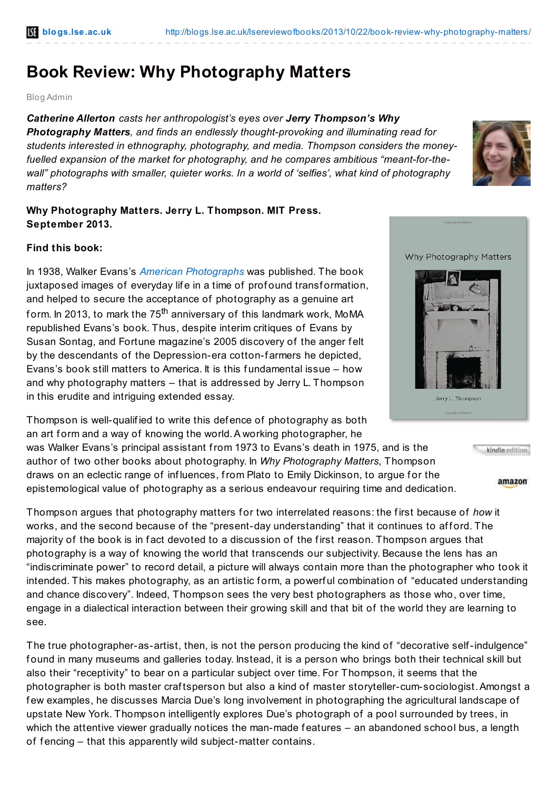## **Book Review: Why Photography Matters**

Blog Admin

*Catherine Allerton casts her anthropologist's eyes over Jerry Thompson's Why Photography Matters, and finds an endlessly thought-provoking and illuminating read for students interested in ethnography, photography, and media. Thompson considers the moneyfuelled expansion of the market for photography, and he compares ambitious "meant-for-thewall" photographs with smaller, quieter works. In a world of 'selfies', what kind of photography matters?*

## **Why Photography Matters. Jerry L. Thompson. MIT Press. September 2013.**

## **Find this book:**

In 1938, Walker Evans's *American [Photographs](http://www.amazon.co.uk/gp/product/087070835X/ref=as_li_qf_sp_asin_il_tl?ie=UTF8&camp=1634&creative=6738&creativeASIN=087070835X&linkCode=as2&tag=lsreofbo-21)* was published. The book juxtaposed images of everyday life in a time of profound transformation, and helped to secure the acceptance of photography as a genuine art form. In 2013, to mark the 75<sup>th</sup> anniversary of this landmark work, MoMA republished Evans's book. Thus, despite interim critiques of Evans by Susan Sontag, and Fortune magazine's 2005 discovery of the anger f elt by the descendants of the Depression-era cotton-f armers he depicted, Evans's book still matters to America. It is this f undamental issue – how and why photography matters – that is addressed by Jerry L. Thompson in this erudite and intriguing extended essay.

Thompson is well-qualif ied to write this def ence of photography as both an art form and a way of knowing the world. A working photographer, he

was Walker Evans's principal assistant from 1973 to Evans's death in 1975, and is the author of two other books about photography. In *Why Photography Matters*, Thompson draws on an eclectic range of influences, from Plato to Emily Dickinson, to argue for the epistemological value of photography as a serious endeavour requiring time and dedication.

Thompson argues that photography matters for two interrelated reasons: the first because of *how* it works, and the second because of the "present-day understanding" that it continues to afford. The majority of the book is in fact devoted to a discussion of the first reason. Thompson argues that photography is a way of knowing the world that transcends our subjectivity. Because the lens has an "indiscriminate power" to record detail, a picture will always contain more than the photographer who took it intended. This makes photography, as an artistic f orm, a powerf ul combination of "educated understanding and chance discovery". Indeed, Thompson sees the very best photographers as those who, over time, engage in a dialectical interaction between their growing skill and that bit of the world they are learning to see.

The true photographer-as-artist, then, is not the person producing the kind of "decorative self-indulgence" f ound in many museums and galleries today. Instead, it is a person who brings both their technical skill but also their "receptivity" to bear on a particular subject over time. For Thompson, it seems that the photographer is both master craf tsperson but also a kind of master storyteller-cum-sociologist.Amongst a f ew examples, he discusses Marcia Due's long involvement in photographing the agricultural landscape of upstate New York. Thompson intelligently explores Due's photograph of a pool surrounded by trees, in which the attentive viewer gradually notices the man-made features – an abandoned school bus, a length of fencing – that this apparently wild subject-matter contains.



|  |  | kindle edition |  |
|--|--|----------------|--|
|  |  |                |  |

amazon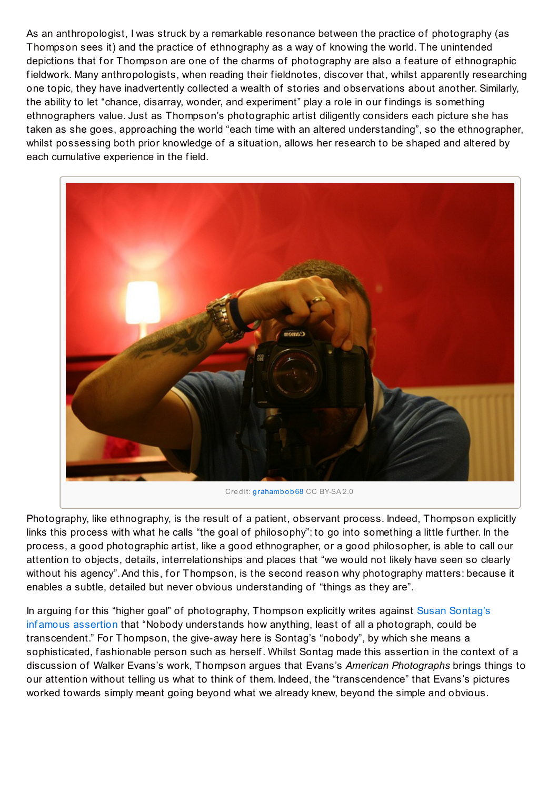As an anthropologist, I was struck by a remarkable resonance between the practice of photography (as Thompson sees it) and the practice of ethnography as a way of knowing the world. The unintended depictions that for Thompson are one of the charms of photography are also a feature of ethnographic f ieldwork. Many anthropologists, when reading their f ieldnotes, discover that, whilst apparently researching one topic, they have inadvertently collected a wealth of stories and observations about another. Similarly, the ability to let "chance, disarray, wonder, and experiment" play a role in our f indings is something ethnographers value. Just as Thompson's photographic artist diligently considers each picture she has taken as she goes, approaching the world "each time with an altered understanding", so the ethnographer, whilst possessing both prior knowledge of a situation, allows her research to be shaped and altered by each cumulative experience in the f ield.



Photography, like ethnography, is the result of a patient, observant process, Indeed, Thompson explicitly links this process with what he calls "the goal of philosophy": to go into something a little further. In the process, a good photographic artist, like a good ethnographer, or a good philosopher, is able to call our attention to objects, details, interrelationships and places that "we would not likely have seen so clearly without his agency". And this, for Thompson, is the second reason why photography matters: because it enables a subtle, detailed but never obvious understanding of "things as they are".

In arguing for this "higher goal" of [photography,](http://www.amazon.co.uk/gp/product/0140053972/ref=as_li_qf_sp_asin_il_tl?ie=UTF8&camp=1634&creative=6738&creativeASIN=0140053972&linkCode=as2&tag=lsreofbo-21) Thompson explicitly writes against Susan Sontag's inf amous assertion that "Nobody understands how anything, least of all a photograph, could be transcendent." For Thompson, the give-away here is Sontag's "nobody", by which she means a sophisticated, fashionable person such as herself. Whilst Sontag made this assertion in the context of a discussion of Walker Evans's work, Thompson argues that Evans's *American Photographs* brings things to our attention without telling us what to think of them. Indeed, the "transcendence" that Evans's pictures worked towards simply meant going beyond what we already knew, beyond the simple and obvious.